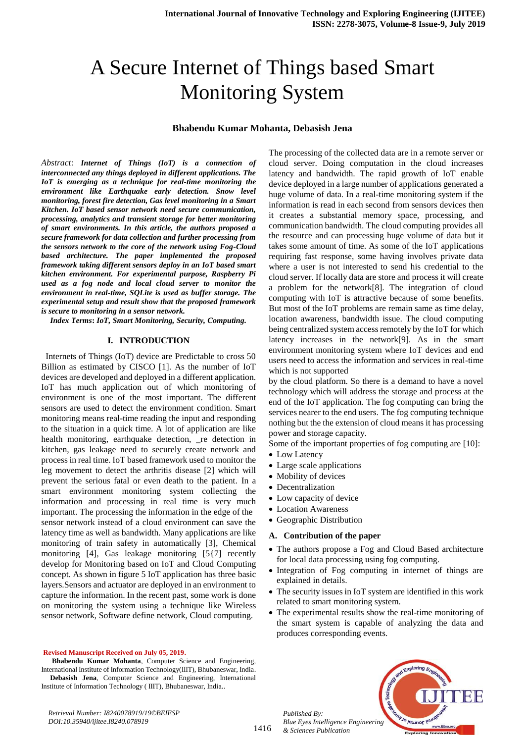# A Secure Internet of Things based Smart Monitoring System

#### **Bhabendu Kumar Mohanta, Debasish Jena**

*Abstract*: *Internet of Things (IoT) is a connection of interconnected any things deployed in different applications. The IoT is emerging as a technique for real-time monitoring the environment like Earthquake early detection. Snow level monitoring, forest fire detection, Gas level monitoring in a Smart Kitchen. IoT based sensor network need secure communication, processing, analytics and transient storage for better monitoring of smart environments. In this article, the authors proposed a secure framework for data collection and further processing from the sensors network to the core of the network using Fog-Cloud based architecture. The paper implemented the proposed framework taking different sensors deploy in an IoT based smart kitchen environment. For experimental purpose, Raspberry Pi used as a fog node and local cloud server to monitor the environment in real-time, SQLite is used as buffer storage. The experimental setup and result show that the proposed framework is secure to monitoring in a sensor network.*

*Index Terms***:** *IoT, Smart Monitoring, Security, Computing.*

#### **I. INTRODUCTION**

 Internets of Things (IoT) device are Predictable to cross 50 Billion as estimated by CISCO [1]. As the number of IoT devices are developed and deployed in a different application. IoT has much application out of which monitoring of environment is one of the most important. The different sensors are used to detect the environment condition. Smart monitoring means real-time reading the input and responding to the situation in a quick time. A lot of application are like health monitoring, earthquake detection, \_re detection in kitchen, gas leakage need to securely create network and process in real time. IoT based framework used to monitor the leg movement to detect the arthritis disease [2] which will prevent the serious fatal or even death to the patient. In a smart environment monitoring system collecting the information and processing in real time is very much important. The processing the information in the edge of the sensor network instead of a cloud environment can save the latency time as well as bandwidth. Many applications are like monitoring of train safety in automatically [3], Chemical monitoring [4], Gas leakage monitoring [5{7] recently develop for Monitoring based on IoT and Cloud Computing concept. As shown in figure 5 IoT application has three basic layers.Sensors and actuator are deployed in an environment to capture the information. In the recent past, some work is done on monitoring the system using a technique like Wireless sensor network, Software define network, Cloud computing.

#### **Revised Manuscript Received on July 05, 2019.**

**Bhabendu Kumar Mohanta**, Computer Science and Engineering, International Institute of Information Technology(IIIT), Bhubaneswar, India. **Debasish Jena**, Computer Science and Engineering, International Institute of Information Technology ( IIIT), Bhubaneswar, India..

*Retrieval Number: I8240078919/19©BEIESP DOI:10.35940/ijitee.I8240.078919*

The processing of the collected data are in a remote server or cloud server. Doing computation in the cloud increases latency and bandwidth. The rapid growth of IoT enable device deployed in a large number of applications generated a huge volume of data. In a real-time monitoring system if the information is read in each second from sensors devices then it creates a substantial memory space, processing, and communication bandwidth. The cloud computing provides all the resource and can processing huge volume of data but it takes some amount of time. As some of the IoT applications requiring fast response, some having involves private data where a user is not interested to send his credential to the cloud server. If locally data are store and process it will create a problem for the network[8]. The integration of cloud computing with IoT is attractive because of some benefits. But most of the IoT problems are remain same as time delay, location awareness, bandwidth issue. The cloud computing being centralized system access remotely by the IoT for which latency increases in the network[9]. As in the smart environment monitoring system where IoT devices and end users need to access the information and services in real-time which is not supported

by the cloud platform. So there is a demand to have a novel technology which will address the storage and process at the end of the IoT application. The fog computing can bring the services nearer to the end users. The fog computing technique nothing but the the extension of cloud means it has processing power and storage capacity.

Some of the important properties of fog computing are [10]:

- Low Latency
- Large scale applications
- Mobility of devices
- Decentralization
- Low capacity of device
- Location Awareness
- Geographic Distribution

#### **A. Contribution of the paper**

- The authors propose a Fog and Cloud Based architecture for local data processing using fog computing.
- Integration of Fog computing in internet of things are explained in details.
- The security issues in IoT system are identified in this work related to smart monitoring system.
- The experimental results show the real-time monitoring of the smart system is capable of analyzing the data and produces corresponding events.



*Published By:*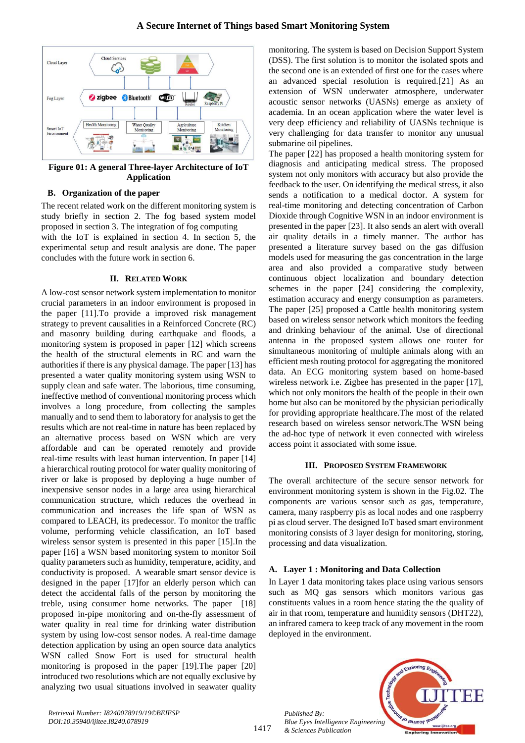

**Figure 01: A general Three-layer Architecture of IoT Application**

## **B. Organization of the paper**

The recent related work on the different monitoring system is study briefly in section 2. The fog based system model proposed in section 3. The integration of fog computing with the IoT is explained in section 4. In section 5, the experimental setup and result analysis are done. The paper concludes with the future work in section 6.

## **II. RELATED WORK**

A low-cost sensor network system implementation to monitor crucial parameters in an indoor environment is proposed in the paper [11].To provide a improved risk management strategy to prevent causalities in a Reinforced Concrete (RC) and masonry building during earthquake and floods, a monitoring system is proposed in paper [12] which screens the health of the structural elements in RC and warn the authorities if there is any physical damage. The paper [13] has presented a water quality monitoring system using WSN to supply clean and safe water. The laborious, time consuming, ineffective method of conventional monitoring process which involves a long procedure, from collecting the samples manually and to send them to laboratory for analysis to get the results which are not real-time in nature has been replaced by an alternative process based on WSN which are very affordable and can be operated remotely and provide real-time results with least human intervention. In paper [14] a hierarchical routing protocol for water quality monitoring of river or lake is proposed by deploying a huge number of inexpensive sensor nodes in a large area using hierarchical communication structure, which reduces the overhead in communication and increases the life span of WSN as compared to LEACH, its predecessor. To monitor the traffic volume, performing vehicle classification, an IoT based wireless sensor system is presented in this paper [15].In the paper [16] a WSN based monitoring system to monitor Soil quality parameters such as humidity, temperature, acidity, and conductivity is proposed. A wearable smart sensor device is designed in the paper [17]for an elderly person which can detect the accidental falls of the person by monitoring the treble, using consumer home networks. The paper [18] proposed in-pipe monitoring and on-the-fly assessment of water quality in real time for drinking water distribution system by using low-cost sensor nodes. A real-time damage detection application by using an open source data analytics WSN called Snow Fort is used for structural health monitoring is proposed in the paper [19].The paper [20] introduced two resolutions which are not equally exclusive by analyzing two usual situations involved in seawater quality monitoring. The system is based on Decision Support System (DSS). The first solution is to monitor the isolated spots and the second one is an extended of first one for the cases where an advanced special resolution is required.[21] As an extension of WSN underwater atmosphere, underwater acoustic sensor networks (UASNs) emerge as anxiety of academia. In an ocean application where the water level is very deep efficiency and reliability of UASNs technique is very challenging for data transfer to monitor any unusual submarine oil pipelines.

The paper [22] has proposed a health monitoring system for diagnosis and anticipating medical stress. The proposed system not only monitors with accuracy but also provide the feedback to the user. On identifying the medical stress, it also sends a notification to a medical doctor. A system for real-time monitoring and detecting concentration of Carbon Dioxide through Cognitive WSN in an indoor environment is presented in the paper [23]. It also sends an alert with overall air quality details in a timely manner. The author has presented a literature survey based on the gas diffusion models used for measuring the gas concentration in the large area and also provided a comparative study between continuous object localization and boundary detection schemes in the paper [24] considering the complexity, estimation accuracy and energy consumption as parameters. The paper [25] proposed a Cattle health monitoring system based on wireless sensor network which monitors the feeding and drinking behaviour of the animal. Use of directional antenna in the proposed system allows one router for simultaneous monitoring of multiple animals along with an efficient mesh routing protocol for aggregating the monitored data. An ECG monitoring system based on home-based wireless network i.e. Zigbee has presented in the paper [17], which not only monitors the health of the people in their own home but also can be monitored by the physician periodically for providing appropriate healthcare.The most of the related research based on wireless sensor network.The WSN being the ad-hoc type of network it even connected with wireless access point it associated with some issue.

## **III. PROPOSED SYSTEM FRAMEWORK**

The overall architecture of the secure sensor network for environment monitoring system is shown in the Fig.02. The components are various sensor such as gas, temperature, camera, many raspberry pis as local nodes and one raspberry pi as cloud server. The designed IoT based smart environment monitoring consists of 3 layer design for monitoring, storing, processing and data visualization.

## **A. Layer 1 : Monitoring and Data Collection**

In Layer 1 data monitoring takes place using various sensors such as MQ gas sensors which monitors various gas constituents values in a room hence stating the the quality of air in that room, temperature and humidity sensors (DHT22), an infrared camera to keep track of any movement in the room deployed in the environment.



*Published By:*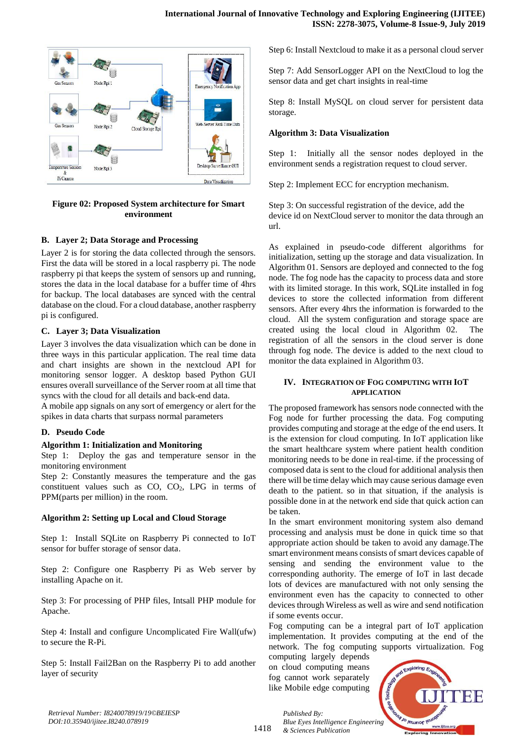

## **Figure 02: Proposed System architecture for Smart environment**

## **B. Layer 2; Data Storage and Processing**

Layer 2 is for storing the data collected through the sensors. First the data will be stored in a local raspberry pi. The node raspberry pi that keeps the system of sensors up and running, stores the data in the local database for a buffer time of 4hrs for backup. The local databases are synced with the central database on the cloud. For a cloud database, another raspberry pi is configured.

## **C. Layer 3; Data Visualization**

Layer 3 involves the data visualization which can be done in three ways in this particular application. The real time data and chart insights are shown in the nextcloud API for monitoring sensor logger. A desktop based Python GUI ensures overall surveillance of the Server room at all time that syncs with the cloud for all details and back-end data.

A mobile app signals on any sort of emergency or alert for the spikes in data charts that surpass normal parameters

## **D. Pseudo Code**

## **Algorithm 1: Initialization and Monitoring**

Step 1: Deploy the gas and temperature sensor in the monitoring environment

Step 2: Constantly measures the temperature and the gas constituent values such as  $CO$ ,  $CO<sub>2</sub>$ , LPG in terms of PPM(parts per million) in the room.

## **Algorithm 2: Setting up Local and Cloud Storage**

Step 1: Install SQLite on Raspberry Pi connected to IoT sensor for buffer storage of sensor data.

Step 2: Configure one Raspberry Pi as Web server by installing Apache on it.

Step 3: For processing of PHP files, Intsall PHP module for Apache.

Step 4: Install and configure Uncomplicated Fire Wall(ufw) to secure the R-Pi.

Step 5: Install Fail2Ban on the Raspberry Pi to add another layer of security

Step 6: Install Nextcloud to make it as a personal cloud server

Step 7: Add SensorLogger API on the NextCloud to log the sensor data and get chart insights in real-time

Step 8: Install MySQL on cloud server for persistent data storage.

## **Algorithm 3: Data Visualization**

Step 1: Initially all the sensor nodes deployed in the environment sends a registration request to cloud server.

Step 2: Implement ECC for encryption mechanism.

Step 3: On successful registration of the device, add the device id on NextCloud server to monitor the data through an url.

As explained in pseudo-code different algorithms for initialization, setting up the storage and data visualization. In Algorithm 01. Sensors are deployed and connected to the fog node. The fog node has the capacity to process data and store with its limited storage. In this work, SQLite installed in fog devices to store the collected information from different sensors. After every 4hrs the information is forwarded to the cloud. All the system configuration and storage space are created using the local cloud in Algorithm 02. The registration of all the sensors in the cloud server is done through fog node. The device is added to the next cloud to monitor the data explained in Algorithm 03.

#### **IV. INTEGRATION OF FOG COMPUTING WITH IOT APPLICATION**

The proposed framework has sensors node connected with the Fog node for further processing the data. Fog computing provides computing and storage at the edge of the end users. It is the extension for cloud computing. In IoT application like the smart healthcare system where patient health condition monitoring needs to be done in real-time. if the processing of composed data is sent to the cloud for additional analysis then there will be time delay which may cause serious damage even death to the patient. so in that situation, if the analysis is possible done in at the network end side that quick action can be taken.

In the smart environment monitoring system also demand processing and analysis must be done in quick time so that appropriate action should be taken to avoid any damage.The smart environment means consists of smart devices capable of sensing and sending the environment value to the corresponding authority. The emerge of IoT in last decade lots of devices are manufactured with not only sensing the environment even has the capacity to connected to other devices through Wireless as well as wire and send notification if some events occur.

Fog computing can be a integral part of IoT application implementation. It provides computing at the end of the network. The fog computing supports virtualization. Fog

computing largely depends on cloud computing means fog cannot work separately like Mobile edge computing



*Retrieval Number: I8240078919/19©BEIESP DOI:10.35940/ijitee.I8240.078919*

1418 *Blue Eyes Intelligence Engineering & Sciences Publication* 

*Published By:*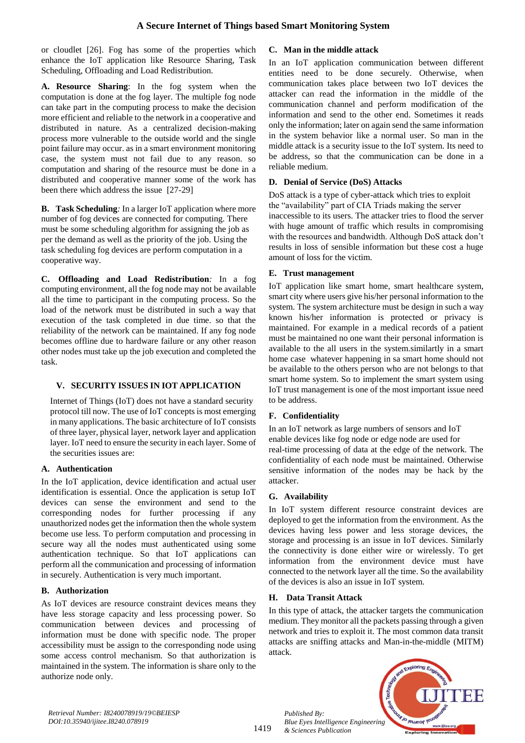or cloudlet [26]. Fog has some of the properties which enhance the IoT application like Resource Sharing, Task Scheduling, Offloading and Load Redistribution.

**A. Resource Sharing**: In the fog system when the computation is done at the fog layer. The multiple fog node can take part in the computing process to make the decision more efficient and reliable to the network in a cooperative and distributed in nature. As a centralized decision-making process more vulnerable to the outside world and the single point failure may occur. as in a smart environment monitoring case, the system must not fail due to any reason. so computation and sharing of the resource must be done in a distributed and cooperative manner some of the work has been there which address the issue [27-29]

**B. Task Scheduling***:* In a larger IoT application where more number of fog devices are connected for computing. There must be some scheduling algorithm for assigning the job as per the demand as well as the priority of the job. Using the task scheduling fog devices are perform computation in a cooperative way.

**C. Offloading and Load Redistribution***:* In a fog computing environment, all the fog node may not be available all the time to participant in the computing process. So the load of the network must be distributed in such a way that execution of the task completed in due time. so that the reliability of the network can be maintained. If any fog node becomes offline due to hardware failure or any other reason other nodes must take up the job execution and completed the task.

# **V. SECURITY ISSUES IN IOT APPLICATION**

Internet of Things (IoT) does not have a standard security protocol till now. The use of IoT concepts is most emerging in many applications. The basic architecture of IoT consists of three layer, physical layer, network layer and application layer. IoT need to ensure the security in each layer. Some of the securities issues are:

# **A. Authentication**

In the IoT application, device identification and actual user identification is essential. Once the application is setup IoT devices can sense the environment and send to the corresponding nodes for further processing if any unauthorized nodes get the information then the whole system become use less. To perform computation and processing in secure way all the nodes must authenticated using some authentication technique. So that IoT applications can perform all the communication and processing of information in securely. Authentication is very much important.

# **B. Authorization**

As IoT devices are resource constraint devices means they have less storage capacity and less processing power. So communication between devices and processing of information must be done with specific node. The proper accessibility must be assign to the corresponding node using some access control mechanism. So that authorization is maintained in the system. The information is share only to the authorize node only.

## **C. Man in the middle attack**

In an IoT application communication between different entities need to be done securely. Otherwise, when communication takes place between two IoT devices the attacker can read the information in the middle of the communication channel and perform modification of the information and send to the other end. Sometimes it reads only the information; later on again send the same information in the system behavior like a normal user. So man in the middle attack is a security issue to the IoT system. Its need to be address, so that the communication can be done in a reliable medium.

## **D. Denial of Service (DoS) Attacks**

DoS attack is a type of cyber-attack which tries to exploit the "availability" part of CIA Triads making the server inaccessible to its users. The attacker tries to flood the server with huge amount of traffic which results in compromising with the resources and bandwidth. Although DoS attack don't results in loss of sensible information but these cost a huge amount of loss for the victim.

## **E. Trust management**

IoT application like smart home, smart healthcare system, smart city where users give his/her personal information to the system. The system architecture must be design in such a way known his/her information is protected or privacy is maintained. For example in a medical records of a patient must be maintained no one want their personal information is available to the all users in the system.similartly in a smart home case whatever happening in sa smart home should not be available to the others person who are not belongs to that smart home system. So to implement the smart system using IoT trust management is one of the most important issue need to be address.

## **F. Confidentiality**

In an IoT network as large numbers of sensors and IoT enable devices like fog node or edge node are used for real-time processing of data at the edge of the network. The confidentiality of each node must be maintained. Otherwise sensitive information of the nodes may be hack by the attacker.

# **G. Availability**

In IoT system different resource constraint devices are deployed to get the information from the environment. As the devices having less power and less storage devices, the storage and processing is an issue in IoT devices. Similarly the connectivity is done either wire or wirelessly. To get information from the environment device must have connected to the network layer all the time. So the availability of the devices is also an issue in IoT system.

## **H. Data Transit Attack**

In this type of attack, the attacker targets the communication medium. They monitor all the packets passing through a given network and tries to exploit it. The most common data transit attacks are sniffing attacks and Man-in-the-middle (MITM) attack.



*Retrieval Number: I8240078919/19©BEIESP DOI:10.35940/ijitee.I8240.078919*

1419

*Published By: Blue Eyes Intelligence Engineering & Sciences Publication*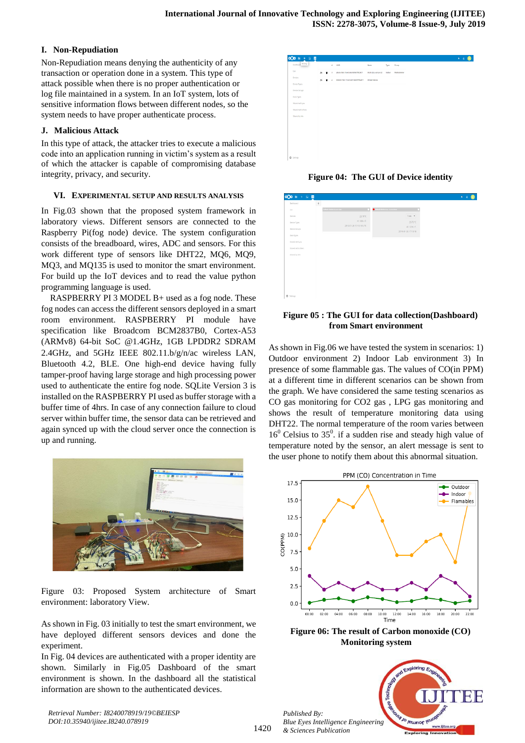## **I. Non-Repudiation**

Non-Repudiation means denying the authenticity of any transaction or operation done in a system. This type of attack possible when there is no proper authentication or log file maintained in a system. In an IoT system, lots of sensitive information flows between different nodes, so the system needs to have proper authenticate process.

## **J. Malicious Attack**

In this type of attack, the attacker tries to execute a malicious code into an application running in victim's system as a result of which the attacker is capable of compromising database integrity, privacy, and security.

## **VI. EXPERIMENTAL SETUP AND RESULTS ANALYSIS**

In Fig.03 shown that the proposed system framework in laboratory views. Different sensors are connected to the Raspberry Pi(fog node) device. The system configuration consists of the breadboard, wires, ADC and sensors. For this work different type of sensors like DHT22, MQ6, MQ9, MQ3, and MQ135 is used to monitor the smart environment. For build up the IoT devices and to read the value python programming language is used.

RASPBERRY PI 3 MODEL B+ used as a fog node. These fog nodes can access the different sensors deployed in a smart room environment. RASPBERRY PI module have specification like Broadcom BCM2837B0, Cortex-A53 (ARMv8) 64-bit SoC @1.4GHz, 1GB LPDDR2 SDRAM 2.4GHz, and 5GHz IEEE 802.11.b/g/n/ac wireless LAN, Bluetooth 4.2, BLE. One high-end device having fully tamper-proof having large storage and high processing power used to authenticate the entire fog node. SQLite Version 3 is installed on the RASPBERRY PI used as buffer storage with a buffer time of 4hrs. In case of any connection failure to cloud server within buffer time, the sensor data can be retrieved and again synced up with the cloud server once the connection is up and running.



Figure 03: Proposed System architecture of Smart environment: laboratory View.

As shown in Fig. 03 initially to test the smart environment, we have deployed different sensors devices and done the experiment.

In Fig. 04 devices are authenticated with a proper identity are shown. Similarly in Fig.05 Dashboard of the smart environment is shown. In the dashboard all the statistical information are shown to the authenticated devices.

*Retrieval Number: I8240078919/19©BEIESP DOI:10.35940/ijitee.I8240.078919*



**Figure 04: The GUI of Device identity**

| Dashboard          | $\,$ + $\,$ |                                    |                                      |                     |  |
|--------------------|-------------|------------------------------------|--------------------------------------|---------------------|--|
| DX.                |             | <b>Default device Current data</b> | Definalt device the - Genet Sea<br>ĸ |                     |  |
| Devices            |             |                                    | 23,70°C                              | $544C$ $*$          |  |
| Device Types       |             | 41.10%rF.                          |                                      | 23.70 °C            |  |
| Device Groups      |             | 2019-01-26 17:10:18 UTC            |                                      | 41.10% r.F.         |  |
| Data Types         |             |                                    |                                      | 2019-01-26 17:10:18 |  |
| Shared with you    |             |                                    |                                      |                     |  |
| Shared with others |             |                                    |                                      |                     |  |
| Shared by Ink      |             |                                    |                                      |                     |  |
|                    |             |                                    |                                      |                     |  |
|                    |             |                                    |                                      |                     |  |
|                    |             |                                    |                                      |                     |  |
|                    |             |                                    |                                      |                     |  |
|                    |             |                                    |                                      |                     |  |
|                    |             |                                    |                                      |                     |  |
|                    |             |                                    |                                      |                     |  |

## **Figure 05 : The GUI for data collection(Dashboard) from Smart environment**

As shown in Fig.06 we have tested the system in scenarios: 1) Outdoor environment 2) Indoor Lab environment 3) In presence of some flammable gas. The values of CO(in PPM) at a different time in different scenarios can be shown from the graph. We have considered the same testing scenarios as CO gas monitoring for CO2 gas , LPG gas monitoring and shows the result of temperature monitoring data using DHT22. The normal temperature of the room varies between  $16<sup>0</sup>$  Celsius to 35<sup>0</sup>. if a sudden rise and steady high value of temperature noted by the sensor, an alert message is sent to the user phone to notify them about this abnormal situation.



**Figure 06: The result of Carbon monoxide (CO) Monitoring system**



*Published By:*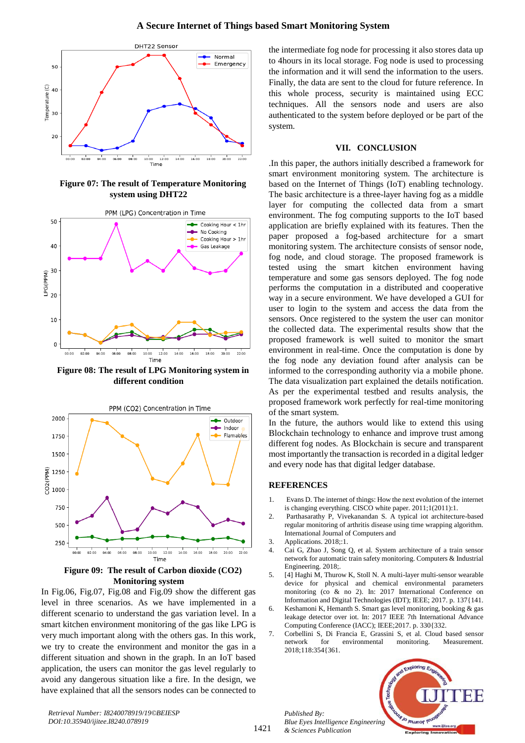

**Figure 07: The result of Temperature Monitoring system using DHT22**



**Figure 08: The result of LPG Monitoring system in different condition**



**Figure 09: The result of Carbon dioxide (CO2) Monitoring system**

In Fig.06, Fig.07, Fig.08 and Fig.09 show the different gas level in three scenarios. As we have implemented in a different scenario to understand the gas variation level. In a smart kitchen environment monitoring of the gas like LPG is very much important along with the others gas. In this work, we try to create the environment and monitor the gas in a different situation and shown in the graph. In an IoT based application, the users can monitor the gas level regularly to avoid any dangerous situation like a fire. In the design, we have explained that all the sensors nodes can be connected to the intermediate fog node for processing it also stores data up to 4hours in its local storage. Fog node is used to processing the information and it will send the information to the users. Finally, the data are sent to the cloud for future reference. In this whole process, security is maintained using ECC techniques. All the sensors node and users are also authenticated to the system before deployed or be part of the system.

#### **VII. CONCLUSION**

.In this paper, the authors initially described a framework for smart environment monitoring system. The architecture is based on the Internet of Things (IoT) enabling technology. The basic architecture is a three-layer having fog as a middle layer for computing the collected data from a smart environment. The fog computing supports to the IoT based application are briefly explained with its features. Then the paper proposed a fog-based architecture for a smart monitoring system. The architecture consists of sensor node, fog node, and cloud storage. The proposed framework is tested using the smart kitchen environment having temperature and some gas sensors deployed. The fog node performs the computation in a distributed and cooperative way in a secure environment. We have developed a GUI for user to login to the system and access the data from the sensors. Once registered to the system the user can monitor the collected data. The experimental results show that the proposed framework is well suited to monitor the smart environment in real-time. Once the computation is done by the fog node any deviation found after analysis can be informed to the corresponding authority via a mobile phone. The data visualization part explained the details notification. As per the experimental testbed and results analysis, the proposed framework work perfectly for real-time monitoring of the smart system.

In the future, the authors would like to extend this using Blockchain technology to enhance and improve trust among different fog nodes. As Blockchain is secure and transparent most importantly the transaction is recorded in a digital ledger and every node has that digital ledger database.

#### **REFERENCES**

- 1. Evans D. The internet of things: How the next evolution of the internet is changing everything. CISCO white paper. 2011;1(2011):1.
- 2. Parthasarathy P, Vivekanandan S. A typical iot architecture-based regular monitoring of arthritis disease using time wrapping algorithm. International Journal of Computers and
- 3. Applications. 2018;:1.
- 4. Cai G, Zhao J, Song Q, et al. System architecture of a train sensor network for automatic train safety monitoring. Computers & Industrial Engineering. 2018;.
- 5. [4] Haghi M, Thurow K, Stoll N. A multi-layer multi-sensor wearable device for physical and chemical environmental parameters monitoring (co & no 2). In: 2017 International Conference on Information and Digital Technologies (IDT); IEEE; 2017. p. 137{141.
- 6. Keshamoni K, Hemanth S. Smart gas level monitoring, booking & gas leakage detector over iot. In: 2017 IEEE 7th International Advance Computing Conference (IACC); IEEE;2017. p. 330{332.
- 7. Corbellini S, Di Francia E, Grassini S, et al. Cloud based sensor network for environmental monitoring. Measurement. 2018;118:354{361.

*Published By: Blue Eyes Intelligence Engineering & Sciences Publication* 



*Retrieval Number: I8240078919/19©BEIESP DOI:10.35940/ijitee.I8240.078919*